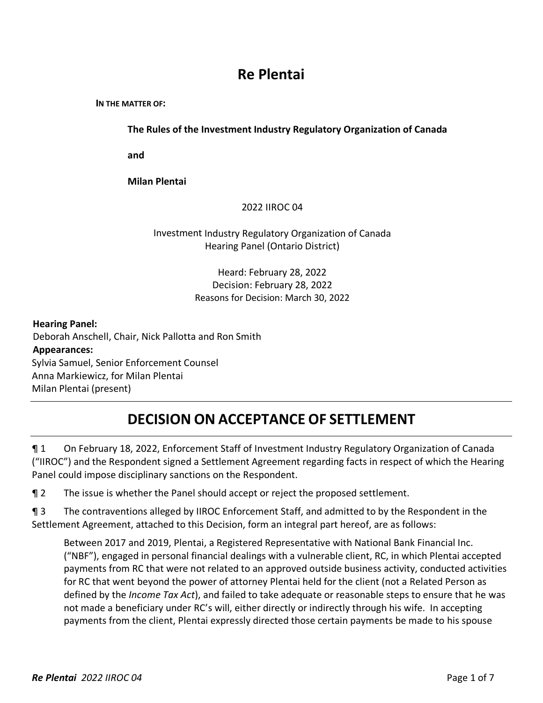# **Re Plentai**

**IN THE MATTER OF:** 

**The Rules of the Investment Industry Regulatory Organization of Canada**

**and** 

**Milan Plentai**

## 2022 IIROC 04

## Investment Industry Regulatory Organization of Canada Hearing Panel (Ontario District)

Heard: February 28, 2022 Decision: February 28, 2022 Reasons for Decision: March 30, 2022

#### **Hearing Panel:**

Deborah Anschell, Chair, Nick Pallotta and Ron Smith **Appearances:** Sylvia Samuel, Senior Enforcement Counsel Anna Markiewicz, for Milan Plentai Milan Plentai (present)

# **DECISION ON ACCEPTANCE OF SETTLEMENT**

¶ 1 On February 18, 2022, Enforcement Staff of Investment Industry Regulatory Organization of Canada ("IIROC") and the Respondent signed a Settlement Agreement regarding facts in respect of which the Hearing Panel could impose disciplinary sanctions on the Respondent.

¶ 2 The issue is whether the Panel should accept or reject the proposed settlement.

¶ 3 The contraventions alleged by IIROC Enforcement Staff, and admitted to by the Respondent in the Settlement Agreement, attached to this Decision, form an integral part hereof, are as follows:

Between 2017 and 2019, Plentai, a Registered Representative with National Bank Financial Inc. ("NBF"), engaged in personal financial dealings with a vulnerable client, RC, in which Plentai accepted payments from RC that were not related to an approved outside business activity, conducted activities for RC that went beyond the power of attorney Plentai held for the client (not a Related Person as defined by the *Income Tax Act*), and failed to take adequate or reasonable steps to ensure that he was not made a beneficiary under RC's will, either directly or indirectly through his wife. In accepting payments from the client, Plentai expressly directed those certain payments be made to his spouse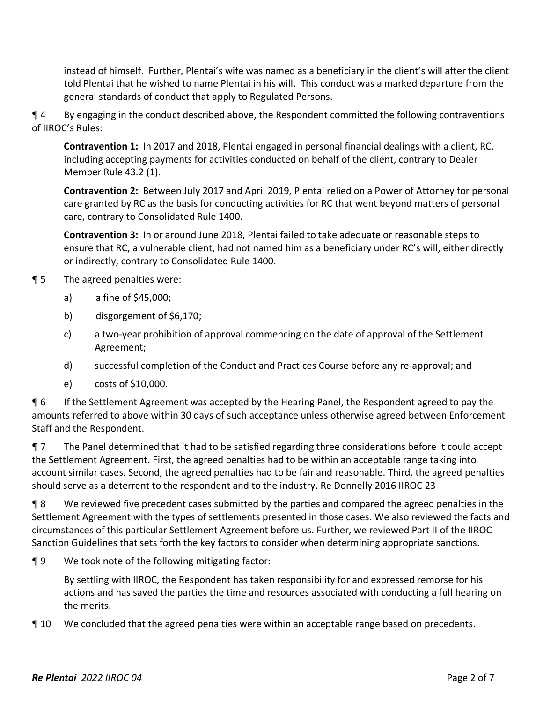instead of himself. Further, Plentai's wife was named as a beneficiary in the client's will after the client told Plentai that he wished to name Plentai in his will. This conduct was a marked departure from the general standards of conduct that apply to Regulated Persons.

¶ 4 By engaging in the conduct described above, the Respondent committed the following contraventions of IIROC's Rules:

**Contravention 1:** In 2017 and 2018, Plentai engaged in personal financial dealings with a client, RC, including accepting payments for activities conducted on behalf of the client, contrary to Dealer Member Rule 43.2 (1).

**Contravention 2:** Between July 2017 and April 2019, Plentai relied on a Power of Attorney for personal care granted by RC as the basis for conducting activities for RC that went beyond matters of personal care, contrary to Consolidated Rule 1400.

**Contravention 3:** In or around June 2018, Plentai failed to take adequate or reasonable steps to ensure that RC, a vulnerable client, had not named him as a beneficiary under RC's will, either directly or indirectly, contrary to Consolidated Rule 1400.

# **¶** 5 The agreed penalties were:

- a) a fine of \$45,000;
- b) disgorgement of \$6,170;
- c) a two-year prohibition of approval commencing on the date of approval of the Settlement Agreement;
- d) successful completion of the Conduct and Practices Course before any re-approval; and
- e) costs of \$10,000.

¶ 6 If the Settlement Agreement was accepted by the Hearing Panel, the Respondent agreed to pay the amounts referred to above within 30 days of such acceptance unless otherwise agreed between Enforcement Staff and the Respondent.

¶ 7 The Panel determined that it had to be satisfied regarding three considerations before it could accept the Settlement Agreement. First, the agreed penalties had to be within an acceptable range taking into account similar cases. Second, the agreed penalties had to be fair and reasonable. Third, the agreed penalties should serve as a deterrent to the respondent and to the industry. Re Donnelly 2016 IIROC 23

¶ 8 We reviewed five precedent cases submitted by the parties and compared the agreed penalties in the Settlement Agreement with the types of settlements presented in those cases. We also reviewed the facts and circumstances of this particular Settlement Agreement before us. Further, we reviewed Part II of the IIROC Sanction Guidelines that sets forth the key factors to consider when determining appropriate sanctions.

¶ 9 We took note of the following mitigating factor:

By settling with IIROC, the Respondent has taken responsibility for and expressed remorse for his actions and has saved the parties the time and resources associated with conducting a full hearing on the merits.

¶ 10 We concluded that the agreed penalties were within an acceptable range based on precedents.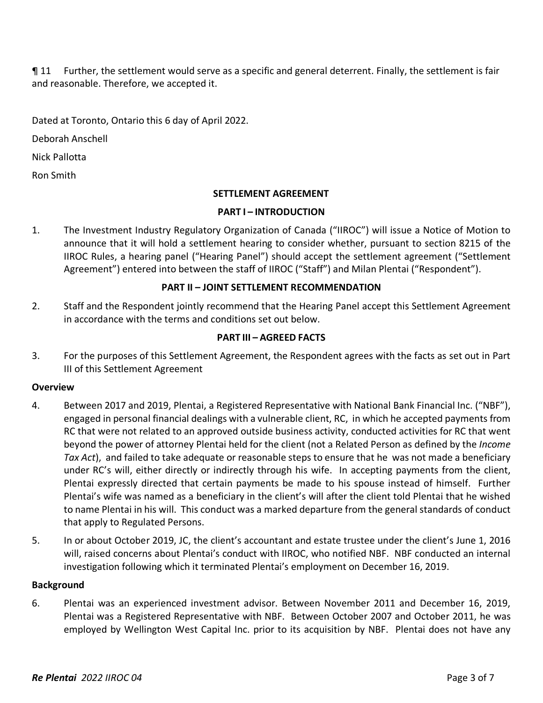¶ 11 Further, the settlement would serve as a specific and general deterrent. Finally, the settlement is fair and reasonable. Therefore, we accepted it.

Dated at Toronto, Ontario this 6 day of April 2022.

Deborah Anschell

Nick Pallotta

Ron Smith

# **SETTLEMENT AGREEMENT**

## **PART I – INTRODUCTION**

1. The Investment Industry Regulatory Organization of Canada ("IIROC") will issue a Notice of Motion to announce that it will hold a settlement hearing to consider whether, pursuant to section 8215 of the IIROC Rules, a hearing panel ("Hearing Panel") should accept the settlement agreement ("Settlement Agreement") entered into between the staff of IIROC ("Staff") and Milan Plentai ("Respondent").

# **PART II – JOINT SETTLEMENT RECOMMENDATION**

2. Staff and the Respondent jointly recommend that the Hearing Panel accept this Settlement Agreement in accordance with the terms and conditions set out below.

## **PART III – AGREED FACTS**

3. For the purposes of this Settlement Agreement, the Respondent agrees with the facts as set out in Part III of this Settlement Agreement

#### **Overview**

- 4. Between 2017 and 2019, Plentai, a Registered Representative with National Bank Financial Inc. ("NBF"), engaged in personal financial dealings with a vulnerable client, RC, in which he accepted payments from RC that were not related to an approved outside business activity, conducted activities for RC that went beyond the power of attorney Plentai held for the client (not a Related Person as defined by the *Income Tax Act*), and failed to take adequate or reasonable steps to ensure that he was not made a beneficiary under RC's will, either directly or indirectly through his wife. In accepting payments from the client, Plentai expressly directed that certain payments be made to his spouse instead of himself. Further Plentai's wife was named as a beneficiary in the client's will after the client told Plentai that he wished to name Plentai in his will. This conduct was a marked departure from the general standards of conduct that apply to Regulated Persons.
- 5. In or about October 2019, JC, the client's accountant and estate trustee under the client's June 1, 2016 will, raised concerns about Plentai's conduct with IIROC, who notified NBF. NBF conducted an internal investigation following which it terminated Plentai's employment on December 16, 2019.

#### **Background**

6. Plentai was an experienced investment advisor. Between November 2011 and December 16, 2019, Plentai was a Registered Representative with NBF. Between October 2007 and October 2011, he was employed by Wellington West Capital Inc. prior to its acquisition by NBF. Plentai does not have any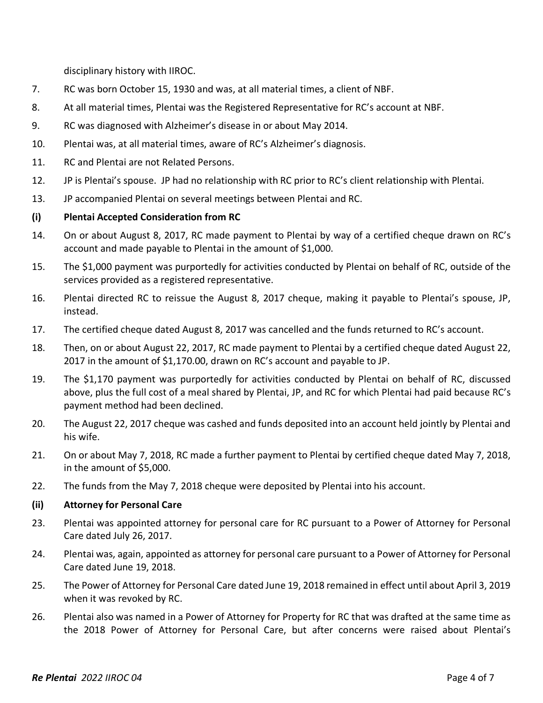disciplinary history with IIROC.

- 7. RC was born October 15, 1930 and was, at all material times, a client of NBF.
- 8. At all material times, Plentai was the Registered Representative for RC's account at NBF.
- 9. RC was diagnosed with Alzheimer's disease in or about May 2014.
- 10. Plentai was, at all material times, aware of RC's Alzheimer's diagnosis.
- 11. RC and Plentai are not Related Persons.
- 12. JP is Plentai's spouse. JP had no relationship with RC prior to RC's client relationship with Plentai.
- 13. JP accompanied Plentai on several meetings between Plentai and RC.

## **(i) Plentai Accepted Consideration from RC**

- 14. On or about August 8, 2017, RC made payment to Plentai by way of a certified cheque drawn on RC's account and made payable to Plentai in the amount of \$1,000.
- 15. The \$1,000 payment was purportedly for activities conducted by Plentai on behalf of RC, outside of the services provided as a registered representative.
- 16. Plentai directed RC to reissue the August 8, 2017 cheque, making it payable to Plentai's spouse, JP, instead.
- 17. The certified cheque dated August 8, 2017 was cancelled and the funds returned to RC's account.
- 18. Then, on or about August 22, 2017, RC made payment to Plentai by a certified cheque dated August 22, 2017 in the amount of \$1,170.00, drawn on RC's account and payable to JP.
- 19. The \$1,170 payment was purportedly for activities conducted by Plentai on behalf of RC, discussed above, plus the full cost of a meal shared by Plentai, JP, and RC for which Plentai had paid because RC's payment method had been declined.
- 20. The August 22, 2017 cheque was cashed and funds deposited into an account held jointly by Plentai and his wife.
- 21. On or about May 7, 2018, RC made a further payment to Plentai by certified cheque dated May 7, 2018, in the amount of \$5,000.
- 22. The funds from the May 7, 2018 cheque were deposited by Plentai into his account.

#### **(ii) Attorney for Personal Care**

- 23. Plentai was appointed attorney for personal care for RC pursuant to a Power of Attorney for Personal Care dated July 26, 2017.
- 24. Plentai was, again, appointed as attorney for personal care pursuant to a Power of Attorney for Personal Care dated June 19, 2018.
- 25. The Power of Attorney for Personal Care dated June 19, 2018 remained in effect until about April 3, 2019 when it was revoked by RC.
- 26. Plentai also was named in a Power of Attorney for Property for RC that was drafted at the same time as the 2018 Power of Attorney for Personal Care, but after concerns were raised about Plentai's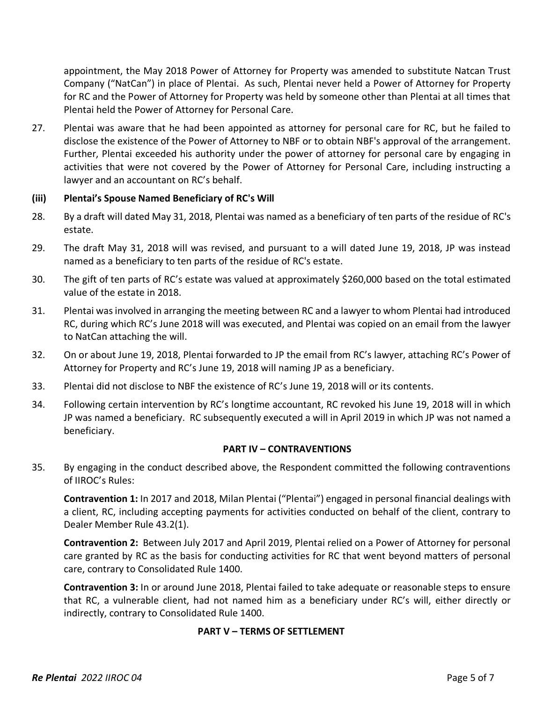appointment, the May 2018 Power of Attorney for Property was amended to substitute Natcan Trust Company ("NatCan") in place of Plentai. As such, Plentai never held a Power of Attorney for Property for RC and the Power of Attorney for Property was held by someone other than Plentai at all times that Plentai held the Power of Attorney for Personal Care.

27. Plentai was aware that he had been appointed as attorney for personal care for RC, but he failed to disclose the existence of the Power of Attorney to NBF or to obtain NBF's approval of the arrangement. Further, Plentai exceeded his authority under the power of attorney for personal care by engaging in activities that were not covered by the Power of Attorney for Personal Care, including instructing a lawyer and an accountant on RC's behalf.

#### **(iii) Plentai's Spouse Named Beneficiary of RC's Will**

- 28. By a draft will dated May 31, 2018, Plentai was named as a beneficiary of ten parts of the residue of RC's estate.
- 29. The draft May 31, 2018 will was revised, and pursuant to a will dated June 19, 2018, JP was instead named as a beneficiary to ten parts of the residue of RC's estate.
- 30. The gift of ten parts of RC's estate was valued at approximately \$260,000 based on the total estimated value of the estate in 2018.
- 31. Plentai was involved in arranging the meeting between RC and a lawyer to whom Plentai had introduced RC, during which RC's June 2018 will was executed, and Plentai was copied on an email from the lawyer to NatCan attaching the will.
- 32. On or about June 19, 2018, Plentai forwarded to JP the email from RC's lawyer, attaching RC's Power of Attorney for Property and RC's June 19, 2018 will naming JP as a beneficiary.
- 33. Plentai did not disclose to NBF the existence of RC's June 19, 2018 will or its contents.
- 34. Following certain intervention by RC's longtime accountant, RC revoked his June 19, 2018 will in which JP was named a beneficiary. RC subsequently executed a will in April 2019 in which JP was not named a beneficiary.

#### **PART IV – CONTRAVENTIONS**

35. By engaging in the conduct described above, the Respondent committed the following contraventions of IIROC's Rules:

**Contravention 1:** In 2017 and 2018, Milan Plentai ("Plentai") engaged in personal financial dealings with a client, RC, including accepting payments for activities conducted on behalf of the client, contrary to Dealer Member Rule 43.2(1).

**Contravention 2:** Between July 2017 and April 2019, Plentai relied on a Power of Attorney for personal care granted by RC as the basis for conducting activities for RC that went beyond matters of personal care, contrary to Consolidated Rule 1400.

**Contravention 3:** In or around June 2018, Plentai failed to take adequate or reasonable steps to ensure that RC, a vulnerable client, had not named him as a beneficiary under RC's will, either directly or indirectly, contrary to Consolidated Rule 1400.

#### **PART V – TERMS OF SETTLEMENT**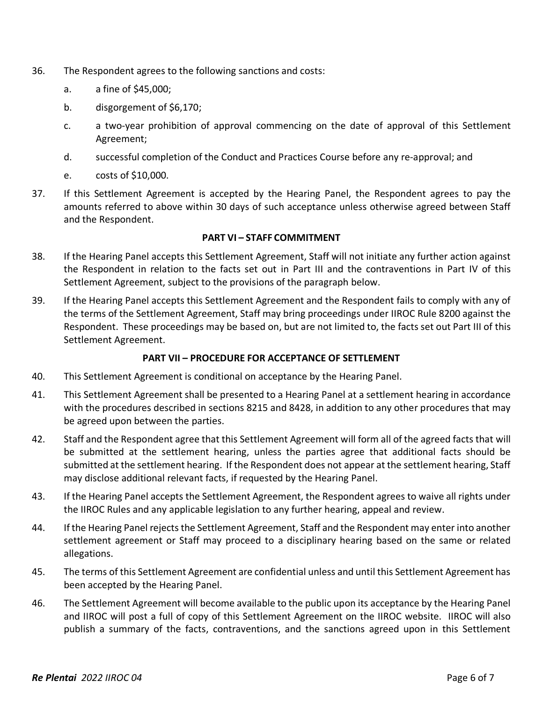- 36. The Respondent agrees to the following sanctions and costs:
	- a. a fine of \$45,000;
	- b. disgorgement of \$6,170;
	- c. a two-year prohibition of approval commencing on the date of approval of this Settlement Agreement;
	- d. successful completion of the Conduct and Practices Course before any re-approval; and
	- e. costs of \$10,000.
- 37. If this Settlement Agreement is accepted by the Hearing Panel, the Respondent agrees to pay the amounts referred to above within 30 days of such acceptance unless otherwise agreed between Staff and the Respondent.

#### **PART VI – STAFF COMMITMENT**

- 38. If the Hearing Panel accepts this Settlement Agreement, Staff will not initiate any further action against the Respondent in relation to the facts set out in Part III and the contraventions in Part IV of this Settlement Agreement, subject to the provisions of the paragraph below.
- 39. If the Hearing Panel accepts this Settlement Agreement and the Respondent fails to comply with any of the terms of the Settlement Agreement, Staff may bring proceedings under IIROC Rule 8200 against the Respondent. These proceedings may be based on, but are not limited to, the facts set out Part III of this Settlement Agreement.

#### **PART VII – PROCEDURE FOR ACCEPTANCE OF SETTLEMENT**

- 40. This Settlement Agreement is conditional on acceptance by the Hearing Panel.
- 41. This Settlement Agreement shall be presented to a Hearing Panel at a settlement hearing in accordance with the procedures described in sections 8215 and 8428, in addition to any other procedures that may be agreed upon between the parties.
- 42. Staff and the Respondent agree that this Settlement Agreement will form all of the agreed facts that will be submitted at the settlement hearing, unless the parties agree that additional facts should be submitted at the settlement hearing. If the Respondent does not appear at the settlement hearing, Staff may disclose additional relevant facts, if requested by the Hearing Panel.
- 43. If the Hearing Panel accepts the Settlement Agreement, the Respondent agrees to waive all rights under the IIROC Rules and any applicable legislation to any further hearing, appeal and review.
- 44. If the Hearing Panel rejects the Settlement Agreement, Staff and the Respondent may enter into another settlement agreement or Staff may proceed to a disciplinary hearing based on the same or related allegations.
- 45. The terms of this Settlement Agreement are confidential unless and until this Settlement Agreement has been accepted by the Hearing Panel.
- 46. The Settlement Agreement will become available to the public upon its acceptance by the Hearing Panel and IIROC will post a full of copy of this Settlement Agreement on the IIROC website. IIROC will also publish a summary of the facts, contraventions, and the sanctions agreed upon in this Settlement